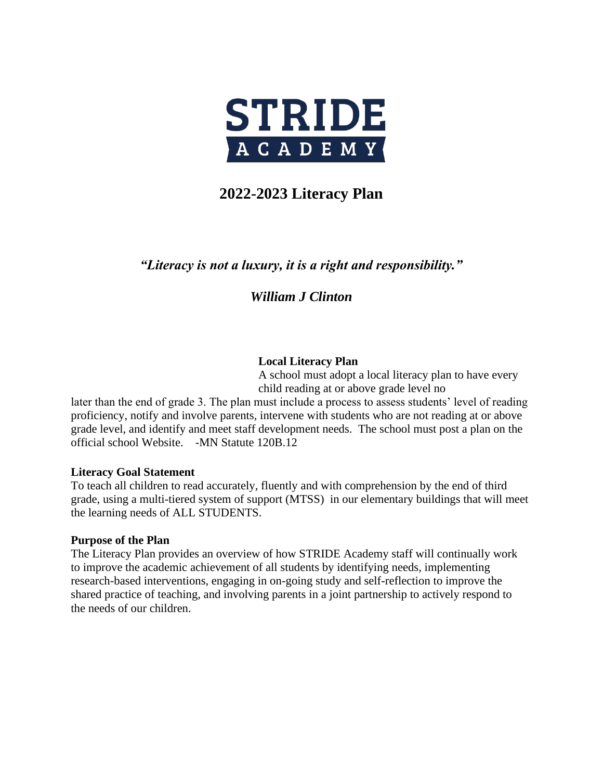

# **2022-2023 Literacy Plan**

## *"Literacy is not a luxury, it is a right and responsibility."*

## *William J Clinton*

### **Local Literacy Plan**

A school must adopt a local literacy plan to have every child reading at or above grade level no

later than the end of grade 3. The plan must include a process to assess students' level of reading proficiency, notify and involve parents, intervene with students who are not reading at or above grade level, and identify and meet staff development needs. The school must post a plan on the official school Website. -MN Statute 120B.12

#### **Literacy Goal Statement**

To teach all children to read accurately, fluently and with comprehension by the end of third grade, using a multi-tiered system of support (MTSS) in our elementary buildings that will meet the learning needs of ALL STUDENTS.

#### **Purpose of the Plan**

The Literacy Plan provides an overview of how STRIDE Academy staff will continually work to improve the academic achievement of all students by identifying needs, implementing research-based interventions, engaging in on-going study and self-reflection to improve the shared practice of teaching, and involving parents in a joint partnership to actively respond to the needs of our children.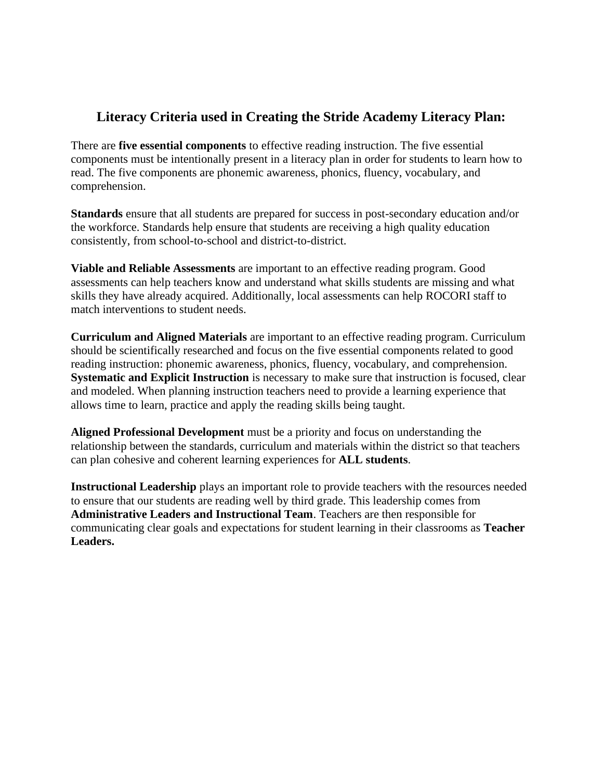## **Literacy Criteria used in Creating the Stride Academy Literacy Plan:**

There are **five essential components** to effective reading instruction. The five essential components must be intentionally present in a literacy plan in order for students to learn how to read. The five components are phonemic awareness, phonics, fluency, vocabulary, and comprehension.

**Standards** ensure that all students are prepared for success in post-secondary education and/or the workforce. Standards help ensure that students are receiving a high quality education consistently, from school-to-school and district-to-district.

**Viable and Reliable Assessments** are important to an effective reading program. Good assessments can help teachers know and understand what skills students are missing and what skills they have already acquired. Additionally, local assessments can help ROCORI staff to match interventions to student needs.

**Curriculum and Aligned Materials** are important to an effective reading program. Curriculum should be scientifically researched and focus on the five essential components related to good reading instruction: phonemic awareness, phonics, fluency, vocabulary, and comprehension. **Systematic and Explicit Instruction** is necessary to make sure that instruction is focused, clear and modeled. When planning instruction teachers need to provide a learning experience that allows time to learn, practice and apply the reading skills being taught.

**Aligned Professional Development** must be a priority and focus on understanding the relationship between the standards, curriculum and materials within the district so that teachers can plan cohesive and coherent learning experiences for **ALL students**.

**Instructional Leadership** plays an important role to provide teachers with the resources needed to ensure that our students are reading well by third grade. This leadership comes from **Administrative Leaders and Instructional Team**. Teachers are then responsible for communicating clear goals and expectations for student learning in their classrooms as **Teacher Leaders.**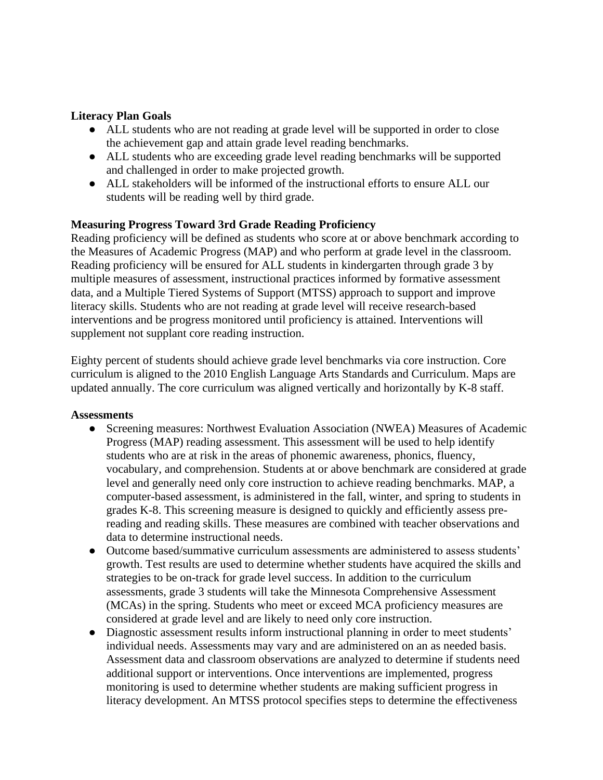#### **Literacy Plan Goals**

- ALL students who are not reading at grade level will be supported in order to close the achievement gap and attain grade level reading benchmarks.
- ALL students who are exceeding grade level reading benchmarks will be supported and challenged in order to make projected growth.
- ALL stakeholders will be informed of the instructional efforts to ensure ALL our students will be reading well by third grade.

## **Measuring Progress Toward 3rd Grade Reading Proficiency**

Reading proficiency will be defined as students who score at or above benchmark according to the Measures of Academic Progress (MAP) and who perform at grade level in the classroom. Reading proficiency will be ensured for ALL students in kindergarten through grade 3 by multiple measures of assessment, instructional practices informed by formative assessment data, and a Multiple Tiered Systems of Support (MTSS) approach to support and improve literacy skills. Students who are not reading at grade level will receive research-based interventions and be progress monitored until proficiency is attained. Interventions will supplement not supplant core reading instruction.

Eighty percent of students should achieve grade level benchmarks via core instruction. Core curriculum is aligned to the 2010 English Language Arts Standards and Curriculum. Maps are updated annually. The core curriculum was aligned vertically and horizontally by K-8 staff.

#### **Assessments**

- Screening measures: Northwest Evaluation Association (NWEA) Measures of Academic Progress (MAP) reading assessment. This assessment will be used to help identify students who are at risk in the areas of phonemic awareness, phonics, fluency, vocabulary, and comprehension. Students at or above benchmark are considered at grade level and generally need only core instruction to achieve reading benchmarks. MAP, a computer-based assessment, is administered in the fall, winter, and spring to students in grades K-8. This screening measure is designed to quickly and efficiently assess prereading and reading skills. These measures are combined with teacher observations and data to determine instructional needs.
- Outcome based/summative curriculum assessments are administered to assess students' growth. Test results are used to determine whether students have acquired the skills and strategies to be on-track for grade level success. In addition to the curriculum assessments, grade 3 students will take the Minnesota Comprehensive Assessment (MCAs) in the spring. Students who meet or exceed MCA proficiency measures are considered at grade level and are likely to need only core instruction.
- Diagnostic assessment results inform instructional planning in order to meet students' individual needs. Assessments may vary and are administered on an as needed basis. Assessment data and classroom observations are analyzed to determine if students need additional support or interventions. Once interventions are implemented, progress monitoring is used to determine whether students are making sufficient progress in literacy development. An MTSS protocol specifies steps to determine the effectiveness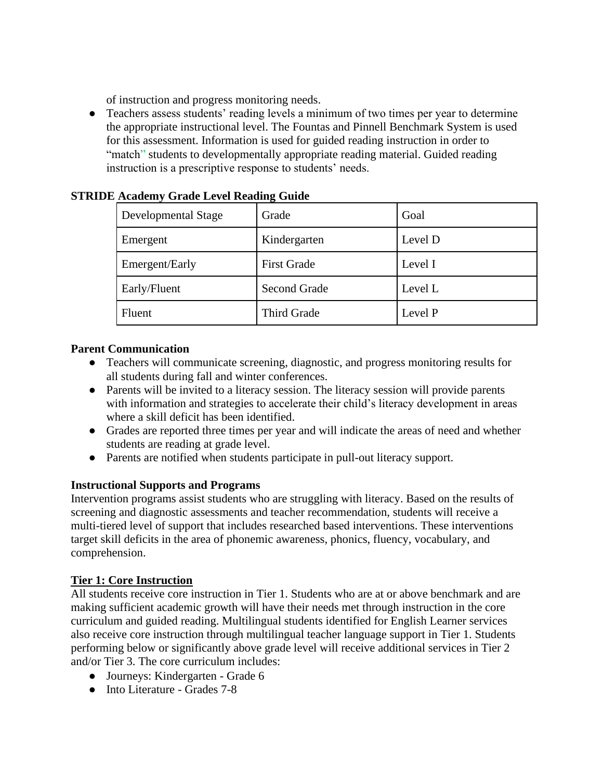of instruction and progress monitoring needs.

● Teachers assess students' reading levels a minimum of two times per year to determine the appropriate instructional level. The Fountas and Pinnell Benchmark System is used for this assessment. Information is used for guided reading instruction in order to "match" students to developmentally appropriate reading material. Guided reading instruction is a prescriptive response to students' needs.

| $110000000$ , $010000000000$ |                     |         |
|------------------------------|---------------------|---------|
| Developmental Stage          | Grade               | Goal    |
| Emergent                     | Kindergarten        | Level D |
| Emergent/Early               | <b>First Grade</b>  | Level I |
| Early/Fluent                 | <b>Second Grade</b> | Level L |
| Fluent                       | Third Grade         | Level P |

## **STRIDE Academy Grade Level Reading Guide**

## **Parent Communication**

- Teachers will communicate screening, diagnostic, and progress monitoring results for all students during fall and winter conferences.
- Parents will be invited to a literacy session. The literacy session will provide parents with information and strategies to accelerate their child's literacy development in areas where a skill deficit has been identified.
- Grades are reported three times per year and will indicate the areas of need and whether students are reading at grade level.
- Parents are notified when students participate in pull-out literacy support.

## **Instructional Supports and Programs**

Intervention programs assist students who are struggling with literacy. Based on the results of screening and diagnostic assessments and teacher recommendation, students will receive a multi-tiered level of support that includes researched based interventions. These interventions target skill deficits in the area of phonemic awareness, phonics, fluency, vocabulary, and comprehension.

### **Tier 1: Core Instruction**

All students receive core instruction in Tier 1. Students who are at or above benchmark and are making sufficient academic growth will have their needs met through instruction in the core curriculum and guided reading. Multilingual students identified for English Learner services also receive core instruction through multilingual teacher language support in Tier 1. Students performing below or significantly above grade level will receive additional services in Tier 2 and/or Tier 3. The core curriculum includes:

- Journeys: Kindergarten Grade 6
- Into Literature Grades 7-8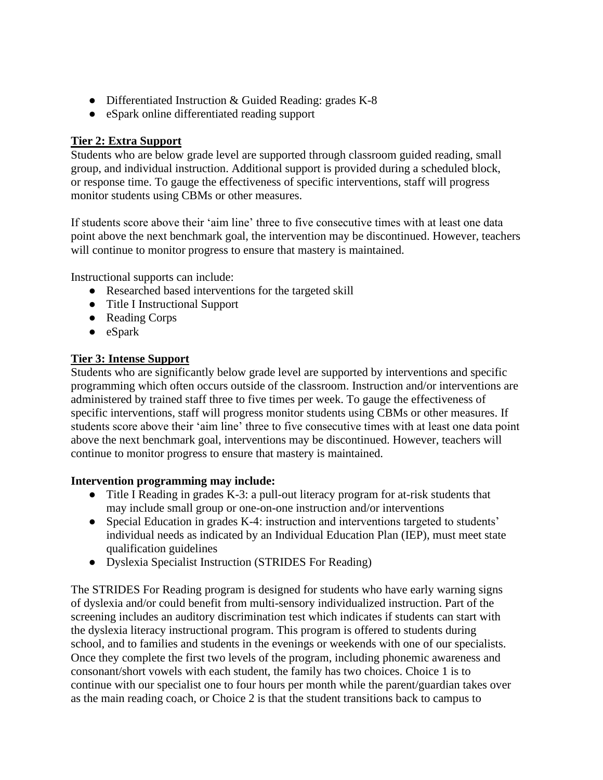- Differentiated Instruction & Guided Reading: grades K-8
- eSpark online differentiated reading support

## **Tier 2: Extra Support**

Students who are below grade level are supported through classroom guided reading, small group, and individual instruction. Additional support is provided during a scheduled block, or response time. To gauge the effectiveness of specific interventions, staff will progress monitor students using CBMs or other measures.

If students score above their 'aim line' three to five consecutive times with at least one data point above the next benchmark goal, the intervention may be discontinued. However, teachers will continue to monitor progress to ensure that mastery is maintained.

Instructional supports can include:

- Researched based interventions for the targeted skill
- Title I Instructional Support
- Reading Corps
- eSpark

## **Tier 3: Intense Support**

Students who are significantly below grade level are supported by interventions and specific programming which often occurs outside of the classroom. Instruction and/or interventions are administered by trained staff three to five times per week. To gauge the effectiveness of specific interventions, staff will progress monitor students using CBMs or other measures. If students score above their 'aim line' three to five consecutive times with at least one data point above the next benchmark goal, interventions may be discontinued. However, teachers will continue to monitor progress to ensure that mastery is maintained.

### **Intervention programming may include:**

- Title I Reading in grades K-3: a pull-out literacy program for at-risk students that may include small group or one-on-one instruction and/or interventions
- Special Education in grades K-4: instruction and interventions targeted to students' individual needs as indicated by an Individual Education Plan (IEP), must meet state qualification guidelines
- Dyslexia Specialist Instruction (STRIDES For Reading)

The STRIDES For Reading program is designed for students who have early warning signs of dyslexia and/or could benefit from multi-sensory individualized instruction. Part of the screening includes an auditory discrimination test which indicates if students can start with the dyslexia literacy instructional program. This program is offered to students during school, and to families and students in the evenings or weekends with one of our specialists. Once they complete the first two levels of the program, including phonemic awareness and consonant/short vowels with each student, the family has two choices. Choice 1 is to continue with our specialist one to four hours per month while the parent/guardian takes over as the main reading coach, or Choice 2 is that the student transitions back to campus to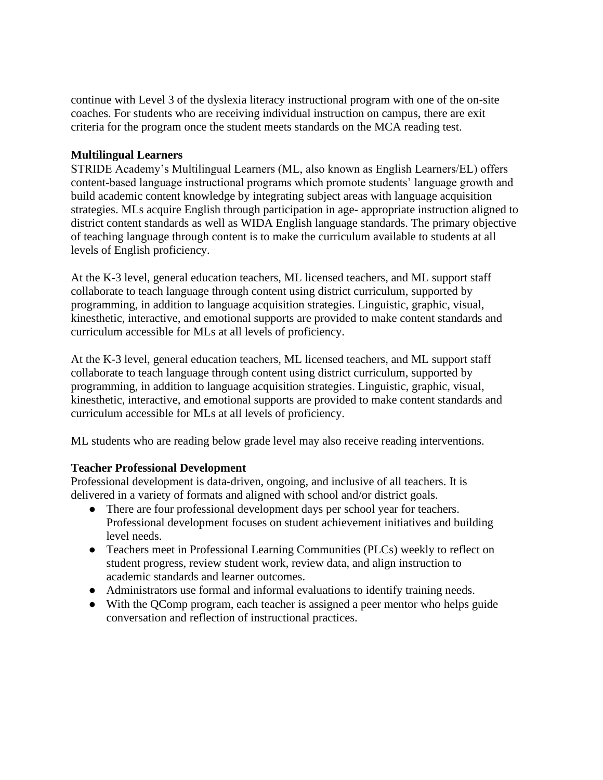continue with Level 3 of the dyslexia literacy instructional program with one of the on-site coaches. For students who are receiving individual instruction on campus, there are exit criteria for the program once the student meets standards on the MCA reading test.

#### **Multilingual Learners**

STRIDE Academy's Multilingual Learners (ML, also known as English Learners/EL) offers content-based language instructional programs which promote students' language growth and build academic content knowledge by integrating subject areas with language acquisition strategies. MLs acquire English through participation in age- appropriate instruction aligned to district content standards as well as WIDA English language standards. The primary objective of teaching language through content is to make the curriculum available to students at all levels of English proficiency.

At the K-3 level, general education teachers, ML licensed teachers, and ML support staff collaborate to teach language through content using district curriculum, supported by programming, in addition to language acquisition strategies. Linguistic, graphic, visual, kinesthetic, interactive, and emotional supports are provided to make content standards and curriculum accessible for MLs at all levels of proficiency.

At the K-3 level, general education teachers, ML licensed teachers, and ML support staff collaborate to teach language through content using district curriculum, supported by programming, in addition to language acquisition strategies. Linguistic, graphic, visual, kinesthetic, interactive, and emotional supports are provided to make content standards and curriculum accessible for MLs at all levels of proficiency.

ML students who are reading below grade level may also receive reading interventions.

#### **Teacher Professional Development**

Professional development is data-driven, ongoing, and inclusive of all teachers. It is delivered in a variety of formats and aligned with school and/or district goals.

- There are four professional development days per school year for teachers. Professional development focuses on student achievement initiatives and building level needs.
- Teachers meet in Professional Learning Communities (PLCs) weekly to reflect on student progress, review student work, review data, and align instruction to academic standards and learner outcomes.
- Administrators use formal and informal evaluations to identify training needs.
- With the QComp program, each teacher is assigned a peer mentor who helps guide conversation and reflection of instructional practices.